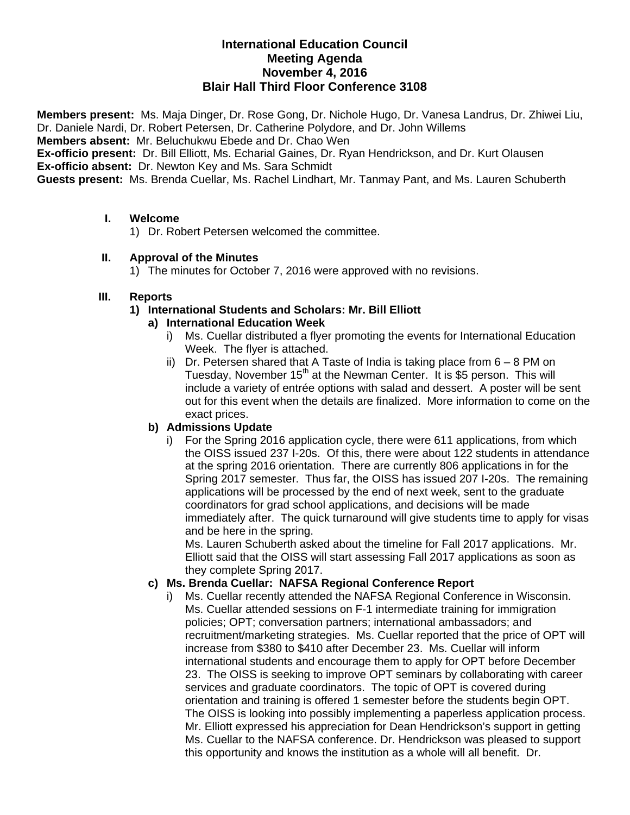#### **International Education Council Meeting Agenda November 4, 2016 Blair Hall Third Floor Conference 3108**

**Members present:** Ms. Maja Dinger, Dr. Rose Gong, Dr. Nichole Hugo, Dr. Vanesa Landrus, Dr. Zhiwei Liu, Dr. Daniele Nardi, Dr. Robert Petersen, Dr. Catherine Polydore, and Dr. John Willems

**Members absent:** Mr. Beluchukwu Ebede and Dr. Chao Wen

**Ex-officio present:** Dr. Bill Elliott, Ms. Echarial Gaines, Dr. Ryan Hendrickson, and Dr. Kurt Olausen **Ex-officio absent:** Dr. Newton Key and Ms. Sara Schmidt

**Guests present:** Ms. Brenda Cuellar, Ms. Rachel Lindhart, Mr. Tanmay Pant, and Ms. Lauren Schuberth

#### **I. Welcome**

1) Dr. Robert Petersen welcomed the committee.

#### **II. Approval of the Minutes**

1) The minutes for October 7, 2016 were approved with no revisions.

#### **III. Reports**

#### **1) International Students and Scholars: Mr. Bill Elliott**

#### **a) International Education Week**

- i) Ms. Cuellar distributed a flyer promoting the events for International Education Week. The flyer is attached.
- ii) Dr. Petersen shared that A Taste of India is taking place from  $6 8$  PM on Tuesday, November 15<sup>th</sup> at the Newman Center. It is \$5 person. This will include a variety of entrée options with salad and dessert. A poster will be sent out for this event when the details are finalized. More information to come on the exact prices.

## **b) Admissions Update**

For the Spring 2016 application cycle, there were 611 applications, from which the OISS issued 237 I-20s. Of this, there were about 122 students in attendance at the spring 2016 orientation. There are currently 806 applications in for the Spring 2017 semester. Thus far, the OISS has issued 207 I-20s. The remaining applications will be processed by the end of next week, sent to the graduate coordinators for grad school applications, and decisions will be made immediately after. The quick turnaround will give students time to apply for visas and be here in the spring.

Ms. Lauren Schuberth asked about the timeline for Fall 2017 applications. Mr. Elliott said that the OISS will start assessing Fall 2017 applications as soon as they complete Spring 2017.

## **c) Ms. Brenda Cuellar: NAFSA Regional Conference Report**

i) Ms. Cuellar recently attended the NAFSA Regional Conference in Wisconsin. Ms. Cuellar attended sessions on F-1 intermediate training for immigration policies; OPT; conversation partners; international ambassadors; and recruitment/marketing strategies. Ms. Cuellar reported that the price of OPT will increase from \$380 to \$410 after December 23. Ms. Cuellar will inform international students and encourage them to apply for OPT before December 23. The OISS is seeking to improve OPT seminars by collaborating with career services and graduate coordinators. The topic of OPT is covered during orientation and training is offered 1 semester before the students begin OPT. The OISS is looking into possibly implementing a paperless application process. Mr. Elliott expressed his appreciation for Dean Hendrickson's support in getting Ms. Cuellar to the NAFSA conference. Dr. Hendrickson was pleased to support this opportunity and knows the institution as a whole will all benefit. Dr.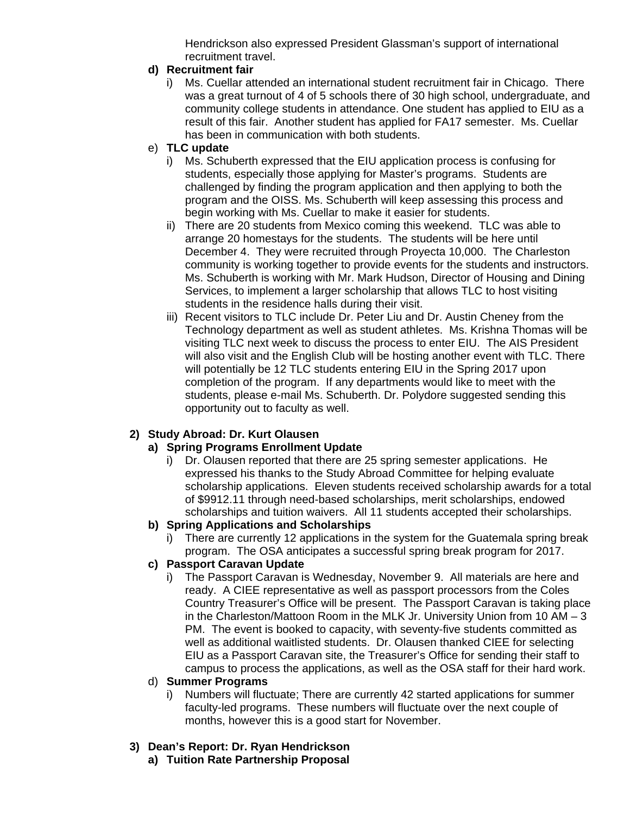Hendrickson also expressed President Glassman's support of international recruitment travel.

## **d) Recruitment fair**

- i) Ms. Cuellar attended an international student recruitment fair in Chicago. There was a great turnout of 4 of 5 schools there of 30 high school, undergraduate, and community college students in attendance. One student has applied to EIU as a result of this fair. Another student has applied for FA17 semester. Ms. Cuellar has been in communication with both students.
- e) **TLC update**
	- i) Ms. Schuberth expressed that the EIU application process is confusing for students, especially those applying for Master's programs. Students are challenged by finding the program application and then applying to both the program and the OISS. Ms. Schuberth will keep assessing this process and begin working with Ms. Cuellar to make it easier for students.
	- ii) There are 20 students from Mexico coming this weekend. TLC was able to arrange 20 homestays for the students. The students will be here until December 4. They were recruited through Proyecta 10,000. The Charleston community is working together to provide events for the students and instructors. Ms. Schuberth is working with Mr. Mark Hudson, Director of Housing and Dining Services, to implement a larger scholarship that allows TLC to host visiting students in the residence halls during their visit.
	- iii) Recent visitors to TLC include Dr. Peter Liu and Dr. Austin Cheney from the Technology department as well as student athletes. Ms. Krishna Thomas will be visiting TLC next week to discuss the process to enter EIU. The AIS President will also visit and the English Club will be hosting another event with TLC. There will potentially be 12 TLC students entering EIU in the Spring 2017 upon completion of the program. If any departments would like to meet with the students, please e-mail Ms. Schuberth. Dr. Polydore suggested sending this opportunity out to faculty as well.

## **2) Study Abroad: Dr. Kurt Olausen**

## **a) Spring Programs Enrollment Update**

i) Dr. Olausen reported that there are 25 spring semester applications. He expressed his thanks to the Study Abroad Committee for helping evaluate scholarship applications. Eleven students received scholarship awards for a total of \$9912.11 through need-based scholarships, merit scholarships, endowed scholarships and tuition waivers. All 11 students accepted their scholarships.

## **b) Spring Applications and Scholarships**

i) There are currently 12 applications in the system for the Guatemala spring break program. The OSA anticipates a successful spring break program for 2017.

## **c) Passport Caravan Update**

i) The Passport Caravan is Wednesday, November 9. All materials are here and ready. A CIEE representative as well as passport processors from the Coles Country Treasurer's Office will be present. The Passport Caravan is taking place in the Charleston/Mattoon Room in the MLK Jr. University Union from 10 AM  $-3$ PM. The event is booked to capacity, with seventy-five students committed as well as additional waitlisted students. Dr. Olausen thanked CIEE for selecting EIU as a Passport Caravan site, the Treasurer's Office for sending their staff to campus to process the applications, as well as the OSA staff for their hard work.

## d) **Summer Programs**

i) Numbers will fluctuate; There are currently 42 started applications for summer faculty-led programs. These numbers will fluctuate over the next couple of months, however this is a good start for November.

# **3) Dean's Report: Dr. Ryan Hendrickson**

**a) Tuition Rate Partnership Proposal**